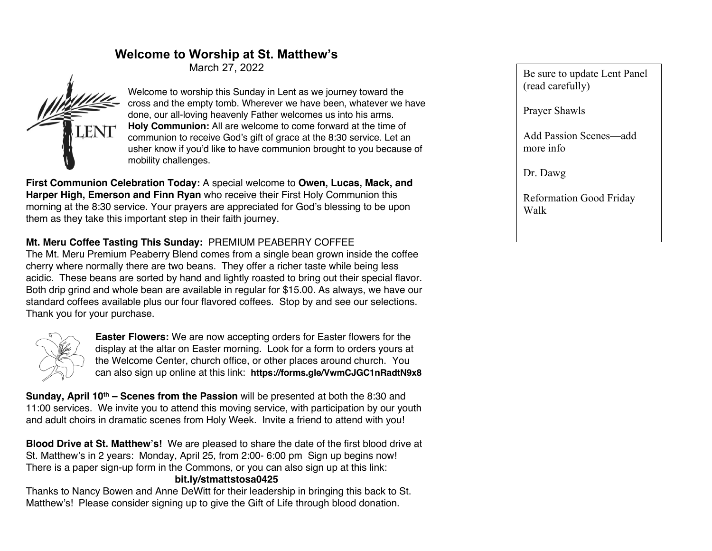# **Welcome to Worship at St. Matthew's**

March 27, 2022



Welcome to worship this Sunday in Lent as we journey toward the cross and the empty tomb. Wherever we have been, whatever we have done, our all-loving heavenly Father welcomes us into his arms. **Holy Communion:** All are welcome to come forward at the time of communion to receive God's gift of grace at the 8:30 service. Let an usher know if you'd like to have communion brought to you because of mobility challenges.

**First Communion Celebration Today:** A special welcome to **Owen, Lucas, Mack, and Harper High, Emerson and Finn Ryan** who receive their First Holy Communion this morning at the 8:30 service. Your prayers are appreciated for God's blessing to be upon them as they take this important step in their faith journey.

### **Mt. Meru Coffee Tasting This Sunday:** PREMIUM PEABERRY COFFEE

The Mt. Meru Premium Peaberry Blend comes from a single bean grown inside the coffee cherry where normally there are two beans. They offer a richer taste while being less acidic. These beans are sorted by hand and lightly roasted to bring out their special flavor. Both drip grind and whole bean are available in regular for \$15.00. As always, we have our standard coffees available plus our four flavored coffees. Stop by and see our selections. Thank you for your purchase.



**Easter Flowers:** We are now accepting orders for Easter flowers for the display at the altar on Easter morning. Look for a form to orders yours at the Welcome Center, church office, or other places around church. You can also sign up online at this link: **https://forms.gle/VwmCJGC1nRadtN9x8**

**Sunday, April 10th – Scenes from the Passion** will be presented at both the 8:30 and 11:00 services. We invite you to attend this moving service, with participation by our youth and adult choirs in dramatic scenes from Holy Week. Invite a friend to attend with you!

**Blood Drive at St. Matthew's!** We are pleased to share the date of the first blood drive at St. Matthew's in 2 years: Monday, April 25, from 2:00- 6:00 pm Sign up begins now! There is a paper sign-up form in the Commons, or you can also sign up at this link:

#### **bit.ly/stmattstosa0425**

Thanks to Nancy Bowen and Anne DeWitt for their leadership in bringing this back to St. Matthew's! Please consider signing up to give the Gift of Life through blood donation.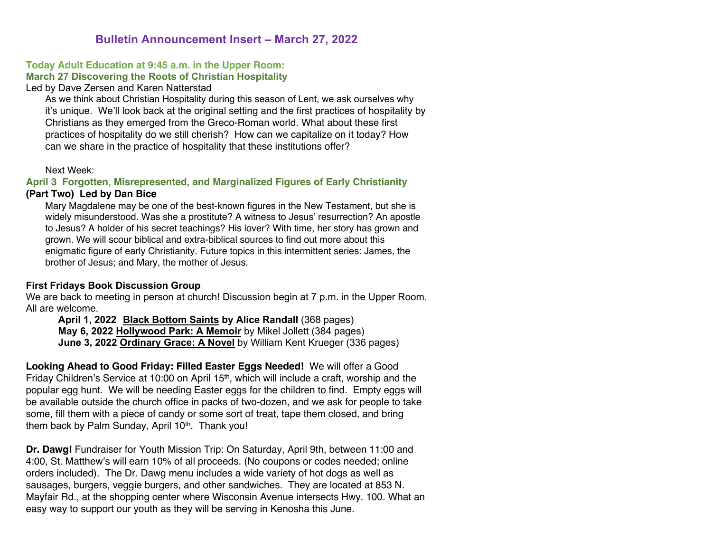## **Bulletin Announcement Insert – March 27, 2022**

#### **Today Adult Education at 9:45 a.m. in the Upper Room: March 27 Discovering the Roots of Christian Hospitality**

#### Led by Dave Zersen and Karen Natterstad

As we think about Christian Hospitality during this season of Lent, we ask ourselves why it's unique. We'll look back at the original setting and the first practices of hospitality by Christians as they emerged from the Greco-Roman world. What about these first practices of hospitality do we still cherish? How can we capitalize on it today? How can we share in the practice of hospitality that these institutions offer?

#### Next Week:

#### **April 3 Forgotten, Misrepresented, and Marginalized Figures of Early Christianity (Part Two) Led by Dan Bice**

Mary Magdalene may be one of the best-known figures in the New Testament, but she is widely misunderstood. Was she a prostitute? A witness to Jesus' resurrection? An apostle to Jesus? A holder of his secret teachings? His lover? With time, her story has grown and grown. We will scour biblical and extra-biblical sources to find out more about this enigmatic figure of early Christianity. Future topics in this intermittent series: James, the brother of Jesus; and Mary, the mother of Jesus.

#### **First Fridays Book Discussion Group**

We are back to meeting in person at church! Discussion begin at 7 p.m. in the Upper Room. All are welcome.

**April 1, 2022 Black Bottom Saints by Alice Randall** (368 pages) **May 6, 2022 Hollywood Park: A Memoir** by Mikel Jollett (384 pages) **June 3, 2022 Ordinary Grace: A Novel** by William Kent Krueger (336 pages)

**Looking Ahead to Good Friday: Filled Easter Eggs Needed!** We will offer a Good Friday Children's Service at 10:00 on April 15<sup>th</sup>, which will include a craft, worship and the popular egg hunt. We will be needing Easter eggs for the children to find. Empty eggs will be available outside the church office in packs of two-dozen, and we ask for people to take some, fill them with a piece of candy or some sort of treat, tape them closed, and bring them back by Palm Sunday, April 10<sup>th</sup>. Thank you!

**Dr. Dawg!** Fundraiser for Youth Mission Trip: On Saturday, April 9th, between 11:00 and 4:00, St. Matthew's will earn 10% of all proceeds. (No coupons or codes needed; online orders included). The Dr. Dawg menu includes a wide variety of hot dogs as well as sausages, burgers, veggie burgers, and other sandwiches. They are located at 853 N. Mayfair Rd., at the shopping center where Wisconsin Avenue intersects Hwy. 100. What an easy way to support our youth as they will be serving in Kenosha this June.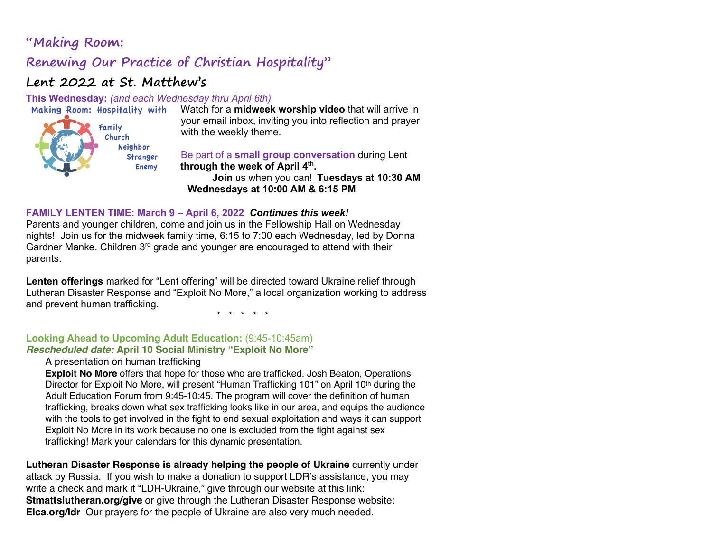# **"Making Room:**

# **Renewing Our Practice of Christian Hospitality"**

# **Lent 2022 at St. Matthew's**

**This Wednesday:** *(and each Wednesday thru April 6th)*



Watch for a **midweek worship video** that will arrive in your email inbox, inviting you into reflection and prayer with the weekly theme.

Be part of a **small group conversation** during Lent **through the week of April 4th.**

**Join** us when you can! **Tuesdays at 10:30 AM Wednesdays at 10:00 AM & 6:15 PM**

#### **FAMILY LENTEN TIME: March 9 – April 6, 2022** *Continues this week!*

Parents and younger children, come and join us in the Fellowship Hall on Wednesday nights! Join us for the midweek family time, 6:15 to 7:00 each Wednesday, led by Donna Gardner Manke. Children 3<sup>rd</sup> grade and younger are encouraged to attend with their parents.

**Lenten offerings** marked for "Lent offering" will be directed toward Ukraine relief through Lutheran Disaster Response and "Exploit No More," a local organization working to address and prevent human trafficking.

\* \* \* \* \*

#### **Looking Ahead to Upcoming Adult Education:** (9:45-10:45am) *Rescheduled date:* **April 10 Social Ministry "Exploit No More"**

#### A presentation on human trafficking

**Exploit No More** offers that hope for those who are trafficked. Josh Beaton, Operations Director for Exploit No More, will present "Human Trafficking 101" on April 10<sup>th</sup> during the Adult Education Forum from 9:45-10:45. The program will cover the definition of human trafficking, breaks down what sex trafficking looks like in our area, and equips the audience with the tools to get involved in the fight to end sexual exploitation and ways it can support Exploit No More in its work because no one is excluded from the fight against sex trafficking! Mark your calendars for this dynamic presentation.

**Lutheran Disaster Response is already helping the people of Ukraine** currently under attack by Russia. If you wish to make a donation to support LDR's assistance, you may write a check and mark it "LDR-Ukraine," give through our website at this link: **Stmattslutheran.org/give** or give through the Lutheran Disaster Response website: **Elca.org/ldr** Our prayers for the people of Ukraine are also very much needed.